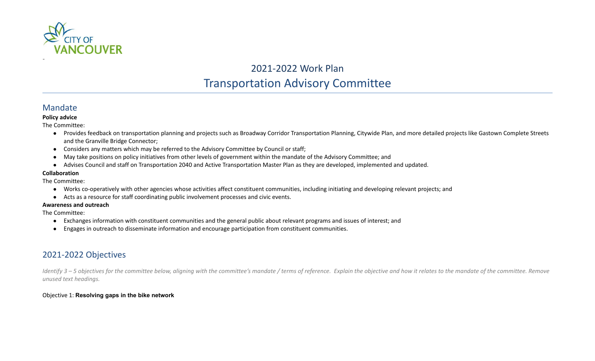

# 2021-2022 Work Plan Transportation Advisory Committee

# Mandate

## **Policy advice**

The Committee:

- Provides feedback on transportation planning and projects such as Broadway Corridor Transportation Planning, Citywide Plan, and more detailed projects like Gastown Complete Streets and the Granville Bridge Connector;
- Considers any matters which may be referred to the Advisory Committee by Council or staff;
- May take positions on policy initiatives from other levels of government within the mandate of the Advisory Committee; and
- Advises Council and staff on Transportation 2040 and Active Transportation Master Plan as they are developed, implemented and updated.

## **Collaboration**

The Committee:

- Works co-operatively with other agencies whose activities affect constituent communities, including initiating and developing relevant projects; and
- Acts as a resource for staff coordinating public involvement processes and civic events.

### **Awareness and outreach**

The Committee:

- Exchanges information with constituent communities and the general public about relevant programs and issues of interest; and
- Engages in outreach to disseminate information and encourage participation from constituent communities.

# 2021-2022 Objectives

*Identify 3 – 5 objectives for the committee below, aligning with the committee's mandate / terms of reference. Explain the objective and how it relates to the mandate of the committee. Remove unused text headings.*

# Objective 1: **Resolving gaps in the bike network**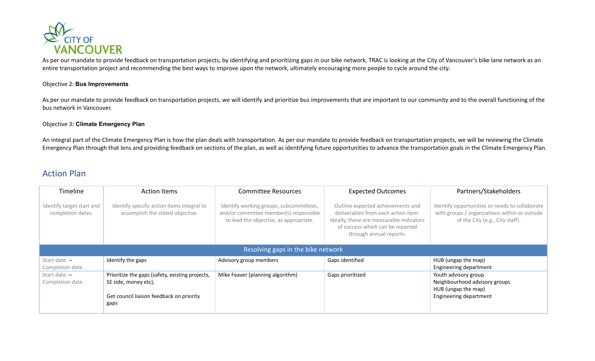

As per our mandate to provide feedback on transportation projects, by identifying and prioritizing gaps in our bike network, TRAC is looking at the City of Vancouver's bike lane network as an entire transportation project and recommending the best ways to improve upon the network, ultimately encouraging more people to cycle around the city.

### Objective 2: **Bus Improvements**

As per our mandate to provide feedback on transportation projects, we will identify and prioritize bus improvements that are important to our community and to the overall functioning of the bus network in Vancouver.

#### Objective 3**: Climate Emergency Plan**

An integral part of the Climate Emergency Plan is how the plan deals with transportation. As per our mandate to provide feedback on transportation projects, we will be reviewing the Climate Emergency Plan through that lens and providing feedback on sections of the plan, as well as identifying future opportunities to advance the transportation goals in the Climate Emergency Plan.

# Action Plan

| Timeline                                       | <b>Action Items</b>                                                                                                         | <b>Committee Resources</b>                                                                                                  | <b>Expected Outcomes</b>                                                                                                                                                            | Partners/Stakeholders                                                                                                              |  |  |  |
|------------------------------------------------|-----------------------------------------------------------------------------------------------------------------------------|-----------------------------------------------------------------------------------------------------------------------------|-------------------------------------------------------------------------------------------------------------------------------------------------------------------------------------|------------------------------------------------------------------------------------------------------------------------------------|--|--|--|
| Identify target start and<br>completion dates. | Identify specific action items integral to<br>accomplish the stated objective.                                              | Identify working groups, subcommittees,<br>and/or committee member(s) responsible<br>to lead the objective, as appropriate. | Outline expected achievements and<br>deliverables from each action item.<br>Ideally, these are measurable indicators<br>of success which can be reported<br>through annual reports. | Identify opportunities or needs to collaborate<br>with groups / organizations within or outside<br>of the City (e.g., City staff). |  |  |  |
| Resolving gaps in the bike network             |                                                                                                                             |                                                                                                                             |                                                                                                                                                                                     |                                                                                                                                    |  |  |  |
| Start date. $-$<br>Completion date.            | Identify the gaps                                                                                                           | Advisory group members                                                                                                      | Gaps identified                                                                                                                                                                     | HUB (ungap the map)<br>Engineering department                                                                                      |  |  |  |
| Start date. $-$<br>Completion date.            | Prioritize the gaps (safety, existing projects,<br>SE side, money etc),<br>Get council liaison feedback on priority<br>gaps | Mike Feaver (planning algorithm)                                                                                            | Gaps prioritized                                                                                                                                                                    | Youth advisory group<br>Neighbourhood advisory groups<br>HUB (ungap the map)<br>Engineering department                             |  |  |  |